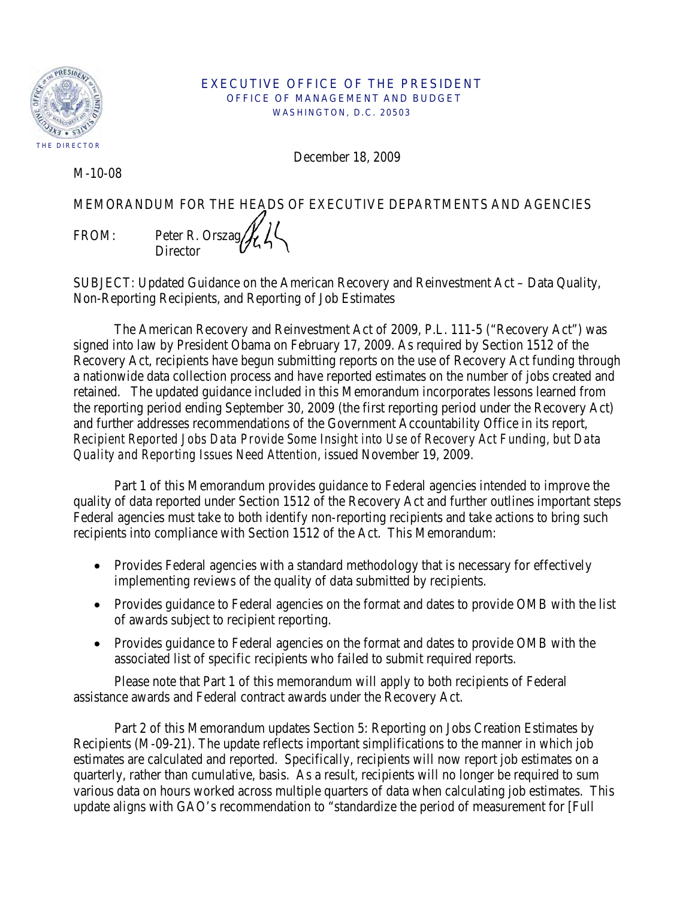

#### EXECUTIVE OFFICE OF THE PRESIDENT OFFICE OF MANAGEMENT AND BUDGET WASHINGTON, D.C. 20503

December 18, 2009

M-10-08

MEMORANDUM FOR THE HEADS OF EXECUTIVE DEPARTMENTS AND AGENCIES FROM: Peter R. Orszag $\mathcal{H}$ **Director** 

SUBJECT: Updated Guidance on the American Recovery and Reinvestment Act – Data Quality, Non-Reporting Recipients, and Reporting of Job Estimates

 The American Recovery and Reinvestment Act of 2009, P.L. 111-5 ("Recovery Act") was signed into law by President Obama on February 17, 2009. As required by Section 1512 of the Recovery Act, recipients have begun submitting reports on the use of Recovery Act funding through a nationwide data collection process and have reported estimates on the number of jobs created and retained. The updated guidance included in this Memorandum incorporates lessons learned from the reporting period ending September 30, 2009 (the first reporting period under the Recovery Act) and further addresses recommendations of the Government Accountability Office in its report, *Recipient Reported Jobs Data Provide Some Insight into Use of Recovery Act Funding, but Data Quality and Reporting Issues Need Attention*, issued November 19, 2009.

 Part 1 of this Memorandum provides guidance to Federal agencies intended to improve the quality of data reported under Section 1512 of the Recovery Act and further outlines important steps Federal agencies must take to both identify non-reporting recipients and take actions to bring such recipients into compliance with Section 1512 of the Act. This Memorandum:

- Provides Federal agencies with a standard methodology that is necessary for effectively implementing reviews of the quality of data submitted by recipients.
- Provides guidance to Federal agencies on the format and dates to provide OMB with the list of awards subject to recipient reporting.
- Provides guidance to Federal agencies on the format and dates to provide OMB with the associated list of specific recipients who failed to submit required reports.

Please note that Part 1 of this memorandum will apply to both recipients of Federal assistance awards and Federal contract awards under the Recovery Act.

 Part 2 of this Memorandum updates Section 5: Reporting on Jobs Creation Estimates by Recipients (M-09-21). The update reflects important simplifications to the manner in which job estimates are calculated and reported. Specifically, recipients will now report job estimates on a quarterly, rather than cumulative, basis. As a result, recipients will no longer be required to sum various data on hours worked across multiple quarters of data when calculating job estimates. This update aligns with GAO's recommendation to "standardize the period of measurement for [Full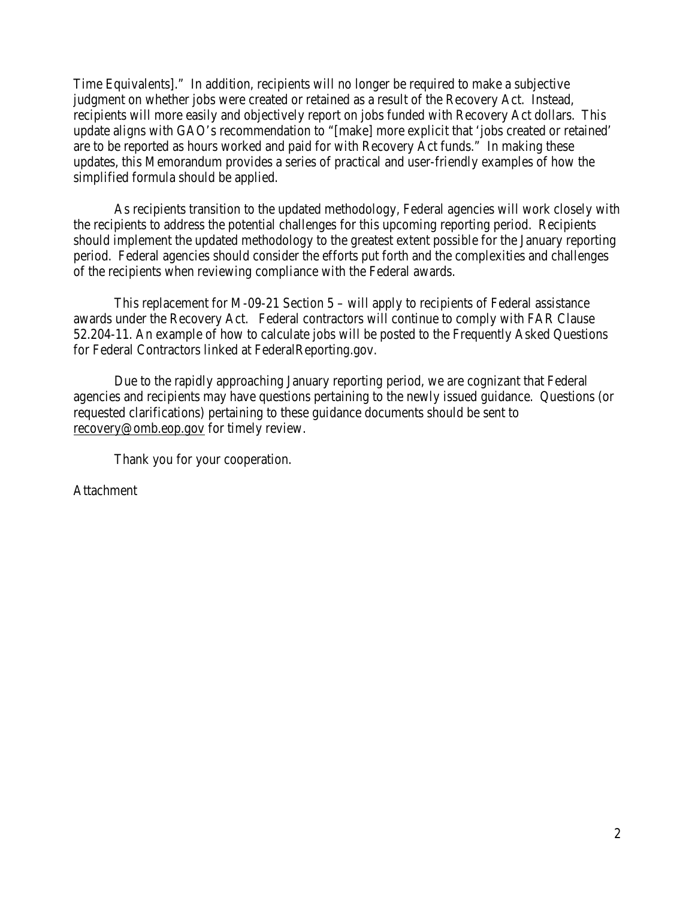Time Equivalents]." In addition, recipients will no longer be required to make a subjective judgment on whether jobs were created or retained as a result of the Recovery Act. Instead, recipients will more easily and objectively report on jobs funded with Recovery Act dollars. This update aligns with GAO's recommendation to "[make] more explicit that 'jobs created or retained' are to be reported as hours worked and paid for with Recovery Act funds." In making these updates, this Memorandum provides a series of practical and user-friendly examples of how the simplified formula should be applied.

 As recipients transition to the updated methodology, Federal agencies will work closely with the recipients to address the potential challenges for this upcoming reporting period. Recipients should implement the updated methodology to the greatest extent possible for the January reporting period. Federal agencies should consider the efforts put forth and the complexities and challenges of the recipients when reviewing compliance with the Federal awards.

 This replacement for M-09-21 Section 5 – will apply to recipients of Federal assistance awards under the Recovery Act. Federal contractors will continue to comply with FAR Clause 52.204-11. An example of how to calculate jobs will be posted to the Frequently Asked Questions for Federal Contractors linked at FederalReporting.gov.

 Due to the rapidly approaching January reporting period, we are cognizant that Federal agencies and recipients may have questions pertaining to the newly issued guidance. Questions (or requested clarifications) pertaining to these guidance documents should be sent to [recovery@omb.eop.gov](mailto:recovery@omb.eop.gov) for timely review.

Thank you for your cooperation.

Attachment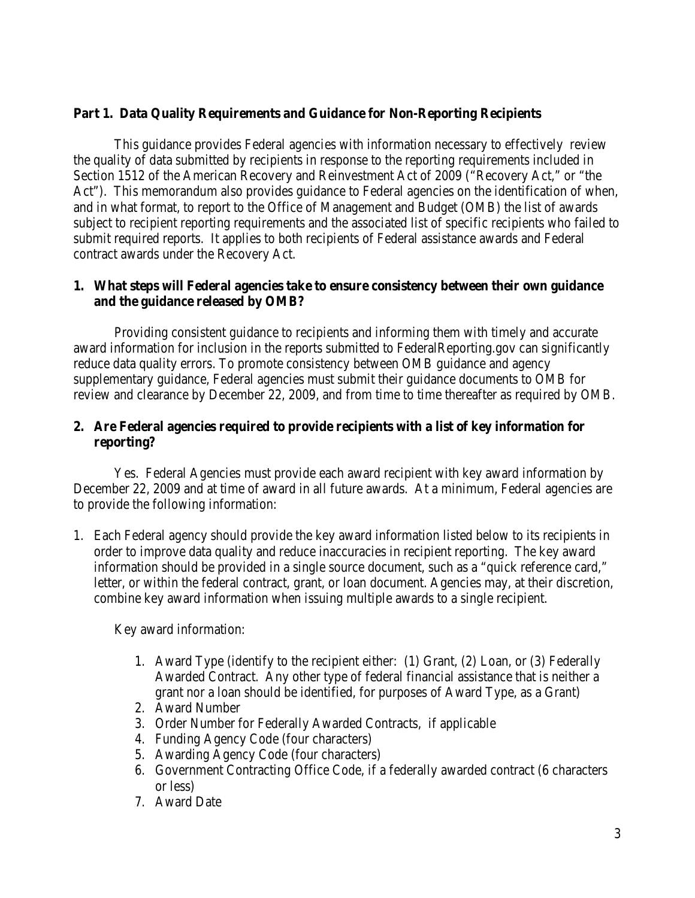# **Part 1. Data Quality Requirements and Guidance for Non-Reporting Recipients**

 This guidance provides Federal agencies with information necessary to effectively review the quality of data submitted by recipients in response to the reporting requirements included in Section 1512 of the American Recovery and Reinvestment Act of 2009 ("Recovery Act," or "the Act"). This memorandum also provides guidance to Federal agencies on the identification of when, and in what format, to report to the Office of Management and Budget (OMB) the list of awards subject to recipient reporting requirements and the associated list of specific recipients who failed to submit required reports. It applies to both recipients of Federal assistance awards and Federal contract awards under the Recovery Act.

# **1. What steps will Federal agencies take to ensure consistency between their own guidance and the guidance released by OMB?**

 Providing consistent guidance to recipients and informing them with timely and accurate award information for inclusion in the reports submitted to FederalReporting.gov can significantly reduce data quality errors. To promote consistency between OMB guidance and agency supplementary guidance, Federal agencies must submit their guidance documents to OMB for review and clearance by December 22, 2009, and from time to time thereafter as required by OMB.

# **2. Are Federal agencies required to provide recipients with a list of key information for reporting?**

Yes. Federal Agencies must provide each award recipient with key award information by December 22, 2009 and at time of award in all future awards. At a minimum, Federal agencies are to provide the following information:

1. Each Federal agency should provide the key award information listed below to its recipients in order to improve data quality and reduce inaccuracies in recipient reporting. The key award information should be provided in a single source document, such as a "quick reference card," letter, or within the federal contract, grant, or loan document. Agencies may, at their discretion, combine key award information when issuing multiple awards to a single recipient.

Key award information:

- 1. Award Type (identify to the recipient either: (1) Grant, (2) Loan, or (3) Federally Awarded Contract. Any other type of federal financial assistance that is neither a grant nor a loan should be identified, for purposes of Award Type, as a Grant)
- 2. Award Number
- 3. Order Number for Federally Awarded Contracts, if applicable
- 4. Funding Agency Code (four characters)
- 5. Awarding Agency Code (four characters)
- 6. Government Contracting Office Code, if a federally awarded contract (6 characters or less)
- 7. Award Date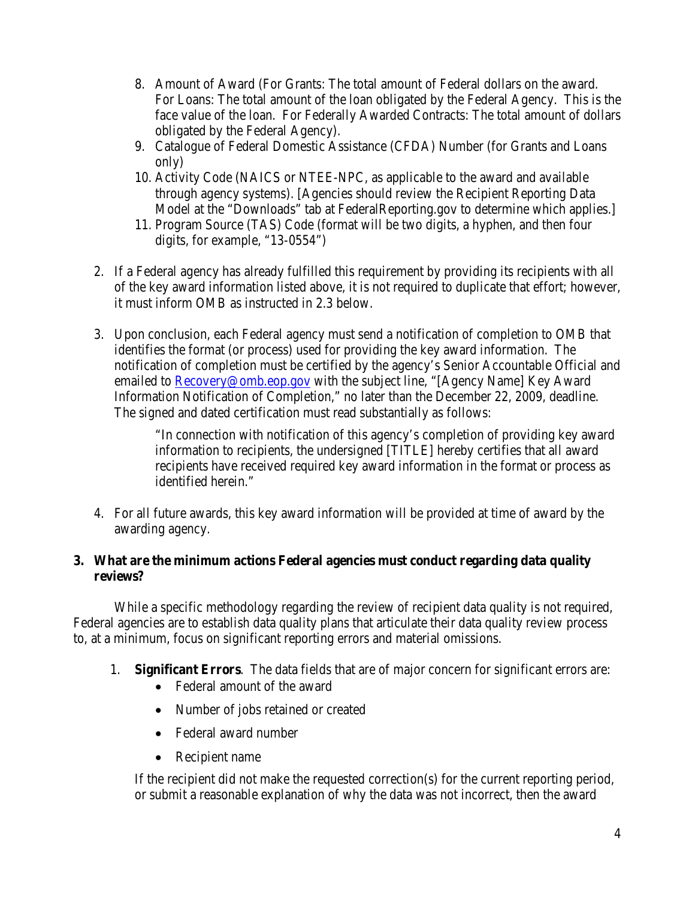- 8. Amount of Award (For Grants: The total amount of Federal dollars on the award. For Loans: The total amount of the loan obligated by the Federal Agency. This is the face value of the loan. For Federally Awarded Contracts: The total amount of dollars obligated by the Federal Agency).
- 9. Catalogue of Federal Domestic Assistance (CFDA) Number (for Grants and Loans only)
- 10. Activity Code (NAICS or NTEE-NPC, as applicable to the award and available through agency systems). [Agencies should review the Recipient Reporting Data Model at the "Downloads" tab at FederalReporting.gov to determine which applies.]
- 11. Program Source (TAS) Code (format will be two digits, a hyphen, and then four digits, for example, "13-0554")
- 2. If a Federal agency has already fulfilled this requirement by providing its recipients with all of the key award information listed above, it is not required to duplicate that effort; however, it must inform OMB as instructed in 2.3 below.
- 3. Upon conclusion, each Federal agency must send a notification of completion to OMB that identifies the format (or process) used for providing the key award information. The notification of completion must be certified by the agency's Senior Accountable Official and emailed to **Recovery@omb.eop.gov** with the subject line, "[Agency Name] Key Award Information Notification of Completion," no later than the December 22, 2009, deadline. The signed and dated certification must read substantially as follows:

"In connection with notification of this agency's completion of providing key award information to recipients, the undersigned [TITLE] hereby certifies that all award recipients have received required key award information in the format or process as identified herein."

4. For all future awards, this key award information will be provided at time of award by the awarding agency.

# **3. What are the minimum actions Federal agencies must conduct regarding data quality reviews?**

 While a specific methodology regarding the review of recipient data quality is not required, Federal agencies are to establish data quality plans that articulate their data quality review process to, at a minimum, focus on significant reporting errors and material omissions.

- 1. **Significant Errors**. The data fields that are of major concern for significant errors are:
	- Federal amount of the award
	- Number of jobs retained or created
	- Federal award number
	- Recipient name

If the recipient did not make the requested correction(s) for the current reporting period, or submit a reasonable explanation of why the data was not incorrect, then the award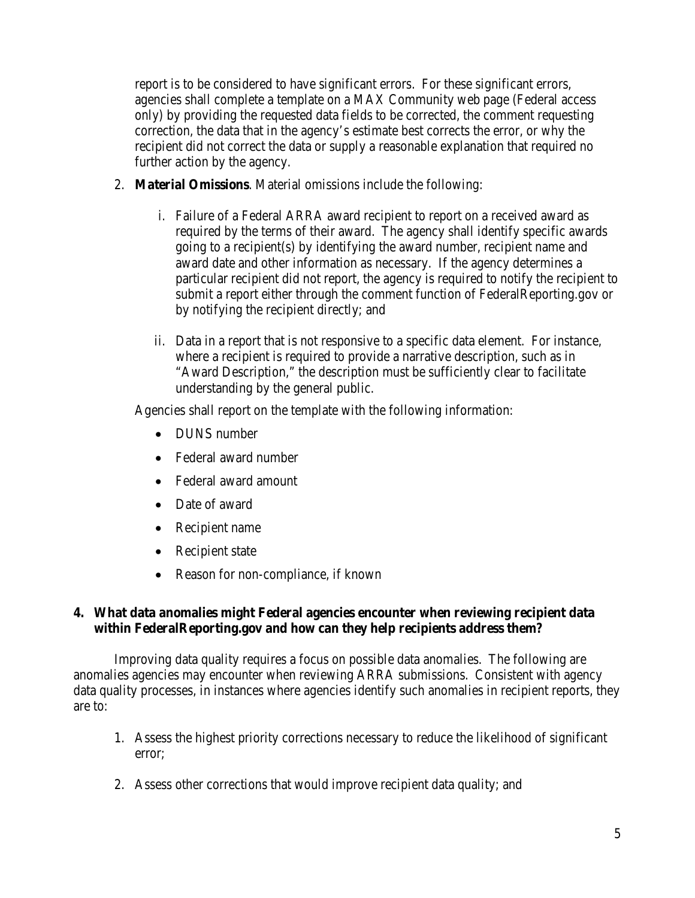report is to be considered to have significant errors. For these significant errors, agencies shall complete a template on a MAX Community web page (Federal access only) by providing the requested data fields to be corrected, the comment requesting correction, the data that in the agency's estimate best corrects the error, or why the recipient did not correct the data or supply a reasonable explanation that required no further action by the agency.

- 2. **Material Omissions**. Material omissions include the following:
	- i. Failure of a Federal ARRA award recipient to report on a received award as required by the terms of their award. The agency shall identify specific awards going to a recipient(s) by identifying the award number, recipient name and award date and other information as necessary. If the agency determines a particular recipient did not report, the agency is required to notify the recipient to submit a report either through the comment function of FederalReporting.gov or by notifying the recipient directly; and
	- ii. Data in a report that is not responsive to a specific data element. For instance, where a recipient is required to provide a narrative description, such as in "Award Description," the description must be sufficiently clear to facilitate understanding by the general public.

Agencies shall report on the template with the following information:

- DUNS number
- Federal award number
- Federal award amount
- Date of award
- Recipient name
- Recipient state
- Reason for non-compliance, if known

# **4. What data anomalies might Federal agencies encounter when reviewing recipient data within FederalReporting.gov and how can they help recipients address them?**

 Improving data quality requires a focus on possible data anomalies. The following are anomalies agencies may encounter when reviewing ARRA submissions. Consistent with agency data quality processes, in instances where agencies identify such anomalies in recipient reports, they are to:

- 1. Assess the highest priority corrections necessary to reduce the likelihood of significant error;
- 2. Assess other corrections that would improve recipient data quality; and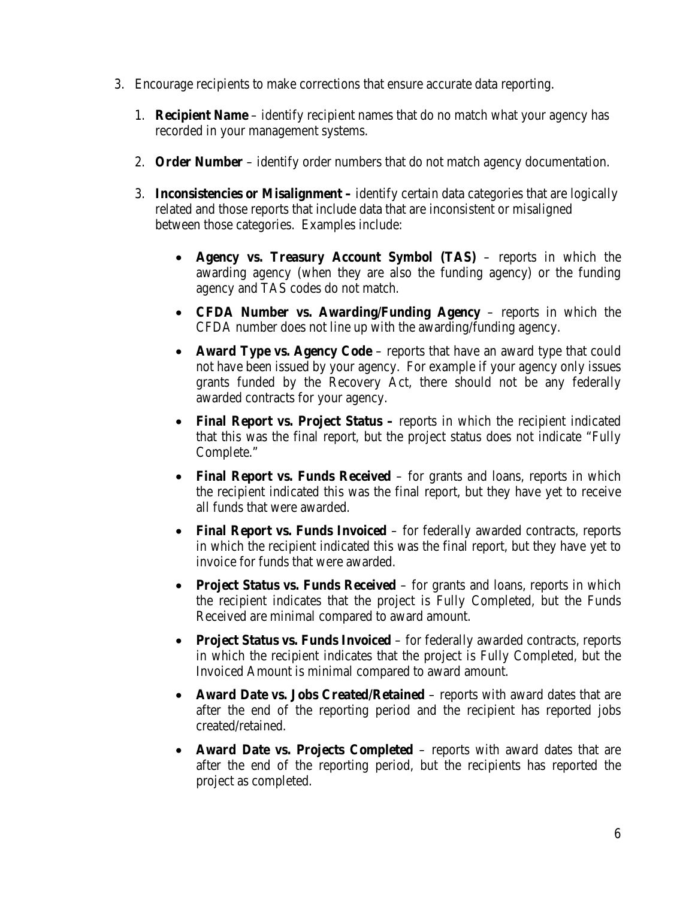- 3. Encourage recipients to make corrections that ensure accurate data reporting.
	- 1. **Recipient Name** identify recipient names that do no match what your agency has recorded in your management systems.
	- 2. **Order Number**  identify order numbers that do not match agency documentation.
	- 3. **Inconsistencies or Misalignment** identify certain data categories that are logically related and those reports that include data that are inconsistent or misaligned between those categories. Examples include:
		- **Agency vs. Treasury Account Symbol (TAS)** reports in which the awarding agency (when they are also the funding agency) or the funding agency and TAS codes do not match.
		- **CFDA Number vs. Awarding/Funding Agency**  reports in which the CFDA number does not line up with the awarding/funding agency.
		- **Award Type vs. Agency Code** reports that have an award type that could not have been issued by your agency. For example if your agency only issues grants funded by the Recovery Act, there should not be any federally awarded contracts for your agency.
		- **Final Report vs. Project Status** reports in which the recipient indicated that this was the final report, but the project status does not indicate "Fully Complete."
		- **Final Report vs. Funds Received** for grants and loans, reports in which the recipient indicated this was the final report, but they have yet to receive all funds that were awarded.
		- **Final Report vs. Funds Invoiced** for federally awarded contracts, reports in which the recipient indicated this was the final report, but they have yet to invoice for funds that were awarded.
		- **Project Status vs. Funds Received** for grants and loans, reports in which the recipient indicates that the project is Fully Completed, but the Funds Received are minimal compared to award amount.
		- **Project Status vs. Funds Invoiced** for federally awarded contracts, reports in which the recipient indicates that the project is Fully Completed, but the Invoiced Amount is minimal compared to award amount.
		- **Award Date vs. Jobs Created/Retained** reports with award dates that are after the end of the reporting period and the recipient has reported jobs created/retained.
		- **Award Date vs. Projects Completed** reports with award dates that are after the end of the reporting period, but the recipients has reported the project as completed.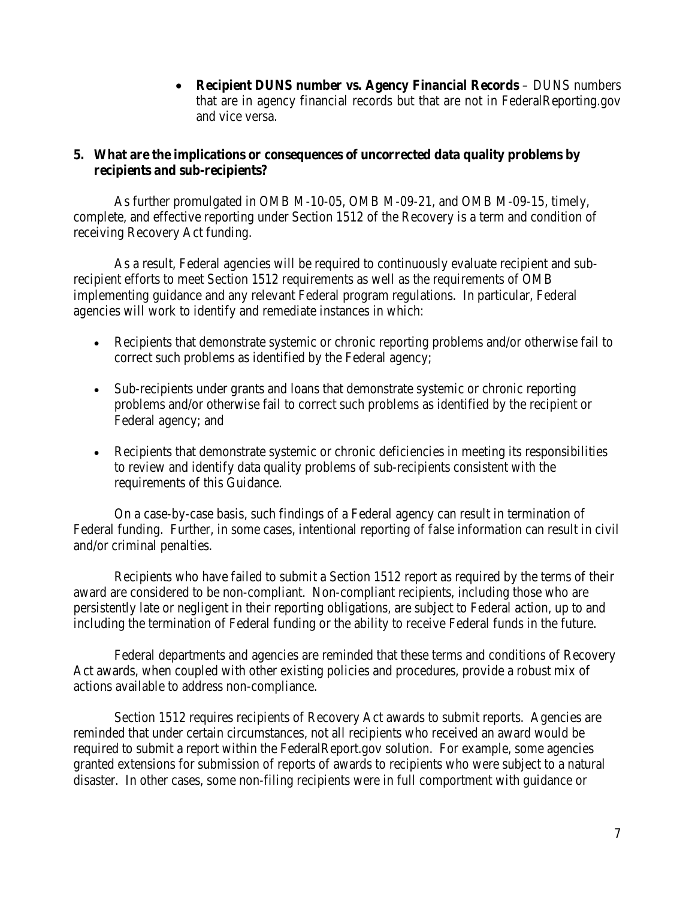• **Recipient DUNS number vs. Agency Financial Records** – DUNS numbers that are in agency financial records but that are not in FederalReporting.gov and vice versa.

# **5. What are the implications or consequences of uncorrected data quality problems by recipients and sub-recipients?**

 As further promulgated in OMB M-10-05, OMB M-09-21, and OMB M-09-15, timely, complete, and effective reporting under Section 1512 of the Recovery is a term and condition of receiving Recovery Act funding.

As a result, Federal agencies will be required to continuously evaluate recipient and subrecipient efforts to meet Section 1512 requirements as well as the requirements of OMB implementing guidance and any relevant Federal program regulations. In particular, Federal agencies will work to identify and remediate instances in which:

- Recipients that demonstrate systemic or chronic reporting problems and/or otherwise fail to correct such problems as identified by the Federal agency;
- Sub-recipients under grants and loans that demonstrate systemic or chronic reporting problems and/or otherwise fail to correct such problems as identified by the recipient or Federal agency; and
- Recipients that demonstrate systemic or chronic deficiencies in meeting its responsibilities to review and identify data quality problems of sub-recipients consistent with the requirements of this Guidance.

On a case-by-case basis, such findings of a Federal agency can result in termination of Federal funding. Further, in some cases, intentional reporting of false information can result in civil and/or criminal penalties.

 Recipients who have failed to submit a Section 1512 report as required by the terms of their award are considered to be non-compliant. Non-compliant recipients, including those who are persistently late or negligent in their reporting obligations, are subject to Federal action, up to and including the termination of Federal funding or the ability to receive Federal funds in the future.

Federal departments and agencies are reminded that these terms and conditions of Recovery Act awards, when coupled with other existing policies and procedures, provide a robust mix of actions available to address non-compliance.

Section 1512 requires recipients of Recovery Act awards to submit reports. Agencies are reminded that under certain circumstances, not all recipients who received an award would be required to submit a report within the FederalReport.gov solution. For example, some agencies granted extensions for submission of reports of awards to recipients who were subject to a natural disaster. In other cases, some non-filing recipients were in full comportment with guidance or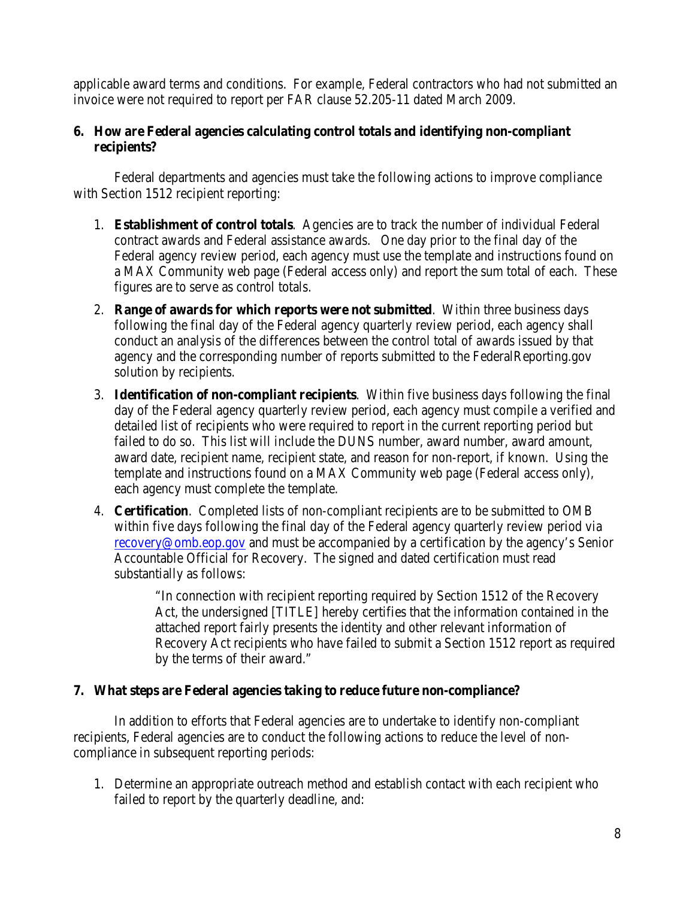applicable award terms and conditions. For example, Federal contractors who had not submitted an invoice were not required to report per FAR clause 52.205-11 dated March 2009.

# **6. How are Federal agencies calculating control totals and identifying non-compliant recipients?**

Federal departments and agencies must take the following actions to improve compliance with Section 1512 recipient reporting:

- 1. **Establishment of control totals**. Agencies are to track the number of individual Federal contract awards and Federal assistance awards. One day prior to the final day of the Federal agency review period, each agency must use the template and instructions found on a MAX Community web page (Federal access only) and report the sum total of each. These figures are to serve as control totals.
- 2. **Range of awards for which reports were not submitted**. Within three business days following the final day of the Federal agency quarterly review period, each agency shall conduct an analysis of the differences between the control total of awards issued by that agency and the corresponding number of reports submitted to the FederalReporting.gov solution by recipients.
- 3. **Identification of non-compliant recipients**. Within five business days following the final day of the Federal agency quarterly review period, each agency must compile a verified and detailed list of recipients who were required to report in the current reporting period but failed to do so. This list will include the DUNS number, award number, award amount, award date, recipient name, recipient state, and reason for non-report, if known. Using the template and instructions found on a MAX Community web page (Federal access only), each agency must complete the template.
- 4. **Certification**. Completed lists of non-compliant recipients are to be submitted to OMB within five days following the final day of the Federal agency quarterly review period via [recovery@omb.eop.gov](mailto:recovery@omb.eop.gov) and must be accompanied by a certification by the agency's Senior Accountable Official for Recovery. The signed and dated certification must read substantially as follows:

"In connection with recipient reporting required by Section 1512 of the Recovery Act, the undersigned [TITLE] hereby certifies that the information contained in the attached report fairly presents the identity and other relevant information of Recovery Act recipients who have failed to submit a Section 1512 report as required by the terms of their award."

# **7. What steps are Federal agencies taking to reduce future non-compliance?**

 In addition to efforts that Federal agencies are to undertake to identify non-compliant recipients, Federal agencies are to conduct the following actions to reduce the level of noncompliance in subsequent reporting periods:

1. Determine an appropriate outreach method and establish contact with each recipient who failed to report by the quarterly deadline, and: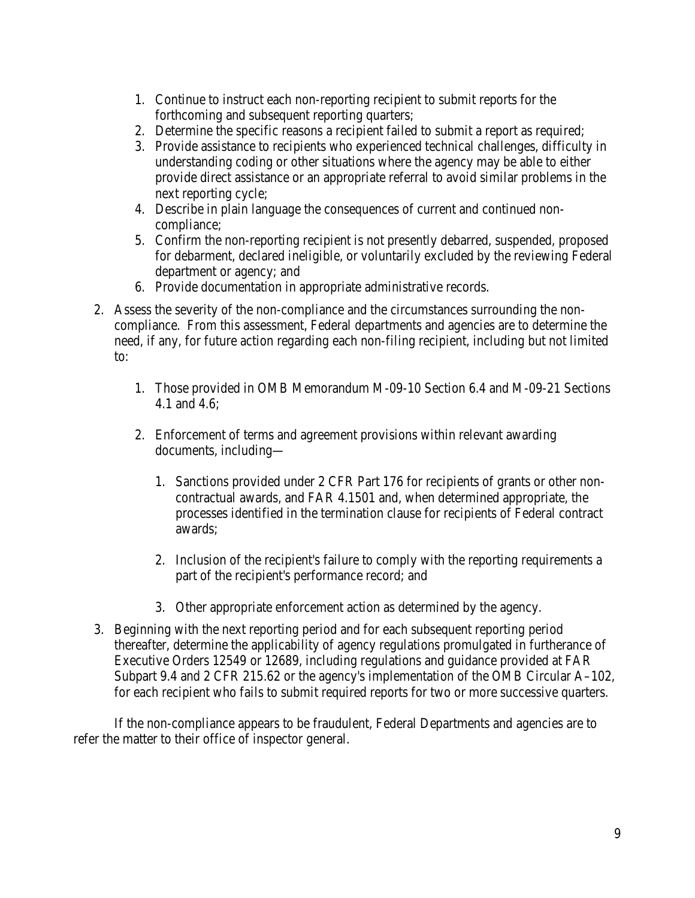- 1. Continue to instruct each non-reporting recipient to submit reports for the forthcoming and subsequent reporting quarters;
- 2. Determine the specific reasons a recipient failed to submit a report as required;
- 3. Provide assistance to recipients who experienced technical challenges, difficulty in understanding coding or other situations where the agency may be able to either provide direct assistance or an appropriate referral to avoid similar problems in the next reporting cycle;
- 4. Describe in plain language the consequences of current and continued noncompliance;
- 5. Confirm the non-reporting recipient is not presently debarred, suspended, proposed for debarment, declared ineligible, or voluntarily excluded by the reviewing Federal department or agency; and
- 6. Provide documentation in appropriate administrative records.
- 2. Assess the severity of the non-compliance and the circumstances surrounding the noncompliance. From this assessment, Federal departments and agencies are to determine the need, if any, for future action regarding each non-filing recipient, including but not limited to:
	- 1. Those provided in OMB Memorandum M-09-10 Section 6.4 and M-09-21 Sections 4.1 and 4.6;
	- 2. Enforcement of terms and agreement provisions within relevant awarding documents, including—
		- 1. Sanctions provided under 2 CFR Part 176 for recipients of grants or other noncontractual awards, and FAR 4.1501 and, when determined appropriate, the processes identified in the termination clause for recipients of Federal contract awards;
		- 2. Inclusion of the recipient's failure to comply with the reporting requirements a part of the recipient's performance record; and
		- 3. Other appropriate enforcement action as determined by the agency.
- 3. Beginning with the next reporting period and for each subsequent reporting period thereafter, determine the applicability of agency regulations promulgated in furtherance of Executive Orders 12549 or 12689, including regulations and guidance provided at FAR Subpart 9.4 and 2 CFR 215.62 or the agency's implementation of the OMB Circular A–102, for each recipient who fails to submit required reports for two or more successive quarters.

 If the non-compliance appears to be fraudulent, Federal Departments and agencies are to refer the matter to their office of inspector general.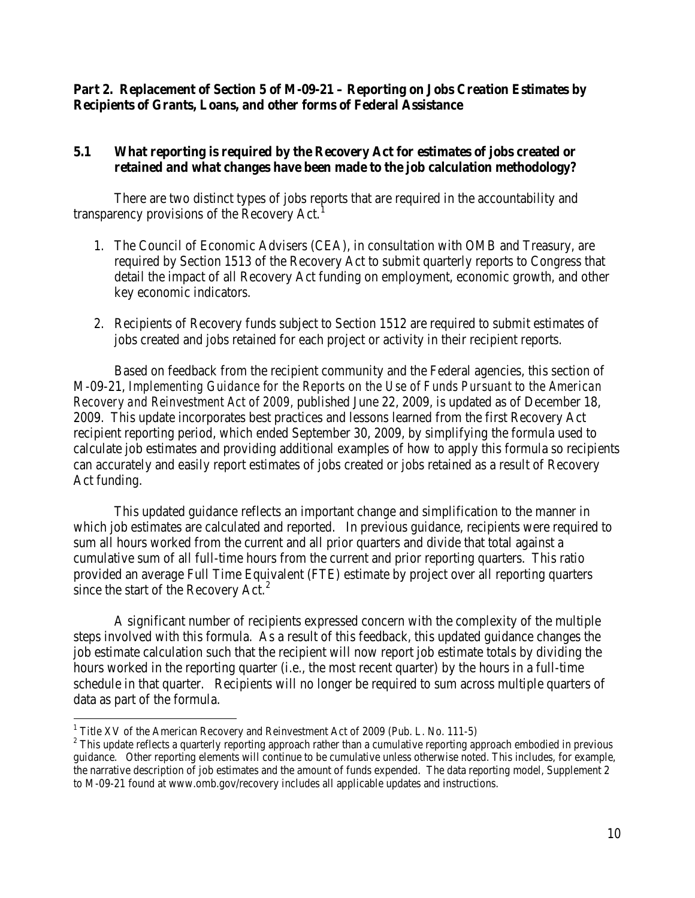# **Part 2. Replacement of Section 5 of M-09-21 – Reporting on Jobs Creation Estimates by Recipients of Grants, Loans, and other forms of Federal Assistance**

# **5.1 What reporting is required by the Recovery Act for estimates of jobs created or retained and what changes have been made to the job calculation methodology?**

 There are two distinct types of jobs reports that are required in the accountability and transparency provisions of the Recovery Act.<sup>[1](#page-9-0)</sup>

- 1. The Council of Economic Advisers (CEA), in consultation with OMB and Treasury, are required by Section 1513 of the Recovery Act to submit quarterly reports to Congress that detail the impact of all Recovery Act funding on employment, economic growth, and other key economic indicators.
- 2. Recipients of Recovery funds subject to Section 1512 are required to submit estimates of jobs created and jobs retained for each project or activity in their recipient reports.

 Based on feedback from the recipient community and the Federal agencies, this section of M-09-21, *Implementing Guidance for the Reports on the Use of Funds Pursuant to the American Recovery and Reinvestment Act of 2009,* published June 22, 2009, is updated as of December 18, 2009. This update incorporates best practices and lessons learned from the first Recovery Act recipient reporting period, which ended September 30, 2009, by simplifying the formula used to calculate job estimates and providing additional examples of how to apply this formula so recipients can accurately and easily report estimates of jobs created or jobs retained as a result of Recovery Act funding.

 This updated guidance reflects an important change and simplification to the manner in which job estimates are calculated and reported. In previous guidance, recipients were required to sum all hours worked from the current and all prior quarters and divide that total against a cumulative sum of all full-time hours from the current and prior reporting quarters. This ratio provided an average Full Time Equivalent (FTE) estimate by project over all reporting quarters since the start of the Recovery Act. $2$ 

 A significant number of recipients expressed concern with the complexity of the multiple steps involved with this formula. As a result of this feedback, this updated guidance changes the job estimate calculation such that the recipient will now report job estimate totals by dividing the hours worked in the reporting quarter (i.e., the most recent quarter) by the hours in a full-time schedule in that quarter. Recipients will no longer be required to sum across multiple quarters of data as part of the formula.

 $\overline{a}$ 

<span id="page-9-1"></span>

<span id="page-9-0"></span><sup>&</sup>lt;sup>1</sup> Title XV of the American Recovery and Reinvestment Act of 2009 (Pub. L. No. 111-5) <sup>2</sup> This update reflects a quarterly reporting approach rather than a cumulative reporting approach embodied in previous guidance. Other reporting elements will continue to be cumulative unless otherwise noted. This includes, for example, the narrative description of job estimates and the amount of funds expended. The data reporting model, Supplement 2 to M-09-21 found at www.omb.gov/recovery includes all applicable updates and instructions.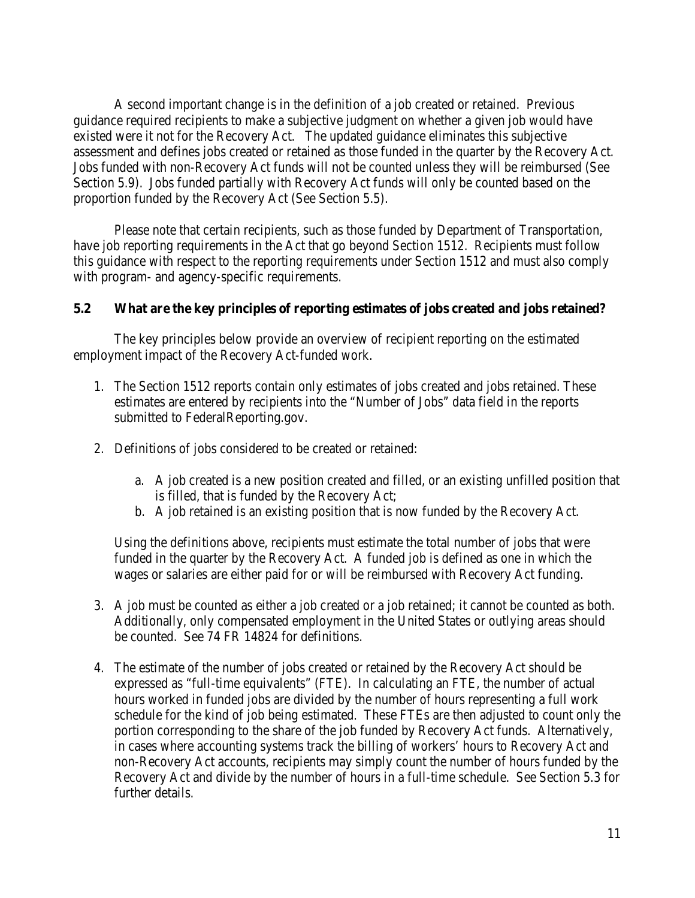A second important change is in the definition of a job created or retained. Previous guidance required recipients to make a subjective judgment on whether a given job would have existed were it not for the Recovery Act. The updated guidance eliminates this subjective assessment and defines jobs created or retained as those funded in the quarter by the Recovery Act. Jobs funded with non-Recovery Act funds will not be counted unless they will be reimbursed (See Section 5.9). Jobs funded partially with Recovery Act funds will only be counted based on the proportion funded by the Recovery Act (See Section 5.5).

Please note that certain recipients, such as those funded by Department of Transportation, have job reporting requirements in the Act that go beyond Section 1512. Recipients must follow this guidance with respect to the reporting requirements under Section 1512 and must also comply with program- and agency-specific requirements.

### **5.2 What are the key principles of reporting estimates of jobs created and jobs retained?**

 The key principles below provide an overview of recipient reporting on the estimated employment impact of the Recovery Act-funded work.

- 1. The Section 1512 reports contain only estimates of jobs created and jobs retained. These estimates are entered by recipients into the "Number of Jobs" data field in the reports submitted to FederalReporting.gov.
- 2. Definitions of jobs considered to be created or retained:
	- a. A job created is a new position created and filled, or an existing unfilled position that is filled, that is funded by the Recovery Act;
	- b. A job retained is an existing position that is now funded by the Recovery Act.

Using the definitions above, recipients must estimate the total number of jobs that were funded in the quarter by the Recovery Act. A funded job is defined as one in which the wages or salaries are either paid for or will be reimbursed with Recovery Act funding.

- 3. A job must be counted as either a job created or a job retained; it cannot be counted as both. Additionally, only compensated employment in the United States or outlying areas should be counted. See 74 FR 14824 for definitions.
- 4. The estimate of the number of jobs created or retained by the Recovery Act should be expressed as "full-time equivalents" (FTE). In calculating an FTE, the number of actual hours worked in funded jobs are divided by the number of hours representing a full work schedule for the kind of job being estimated. These FTEs are then adjusted to count only the portion corresponding to the share of the job funded by Recovery Act funds. Alternatively, in cases where accounting systems track the billing of workers' hours to Recovery Act and non-Recovery Act accounts, recipients may simply count the number of hours funded by the Recovery Act and divide by the number of hours in a full-time schedule. See Section 5.3 for further details.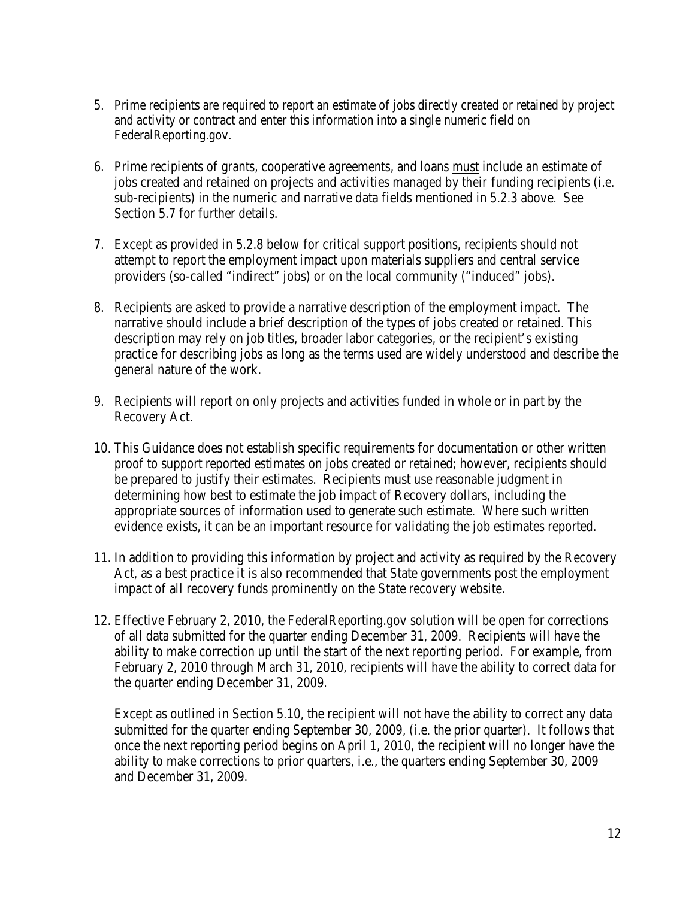- 5. Prime recipients are required to report an estimate of jobs directly created or retained by project and activity or contract and enter this information into a single numeric field on FederalReporting.gov.
- 6. Prime recipients of grants, cooperative agreements, and loans must include an estimate of jobs created and retained on projects and activities managed by *their* funding recipients (i.e. sub-recipients) in the numeric and narrative data fields mentioned in 5.2.3 above. See Section 5.7 for further details.
- 7. Except as provided in 5.2.8 below for critical support positions, recipients should not attempt to report the employment impact upon materials suppliers and central service providers (so-called "indirect" jobs) or on the local community ("induced" jobs).
- 8. Recipients are asked to provide a narrative description of the employment impact. The narrative should include a brief description of the types of jobs created or retained. This description may rely on job titles, broader labor categories, or the recipient's existing practice for describing jobs as long as the terms used are widely understood and describe the general nature of the work.
- 9. Recipients will report on only projects and activities funded in whole or in part by the Recovery Act.
- 10. This Guidance does not establish specific requirements for documentation or other written proof to support reported estimates on jobs created or retained; however, recipients should be prepared to justify their estimates. Recipients must use reasonable judgment in determining how best to estimate the job impact of Recovery dollars, including the appropriate sources of information used to generate such estimate. Where such written evidence exists, it can be an important resource for validating the job estimates reported.
- 11. In addition to providing this information by project and activity as required by the Recovery Act, as a best practice it is also recommended that State governments post the employment impact of all recovery funds prominently on the State recovery website.
- 12. Effective February 2, 2010, the FederalReporting.gov solution will be open for corrections of all data submitted for the quarter ending December 31, 2009. Recipients will have the ability to make correction up until the start of the next reporting period. For example, from February 2, 2010 through March 31, 2010, recipients will have the ability to correct data for the quarter ending December 31, 2009.

Except as outlined in Section 5.10, the recipient will not have the ability to correct any data submitted for the quarter ending September 30, 2009, (i.e. the prior quarter). It follows that once the next reporting period begins on April 1, 2010, the recipient will no longer have the ability to make corrections to prior quarters, i.e., the quarters ending September 30, 2009 and December 31, 2009.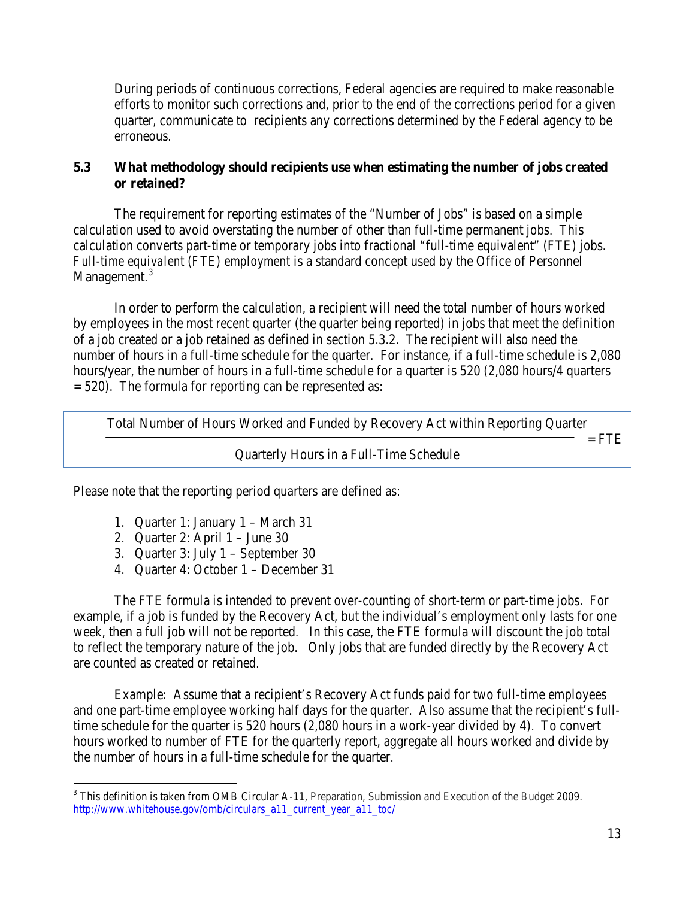During periods of continuous corrections, Federal agencies are required to make reasonable efforts to monitor such corrections and, prior to the end of the corrections period for a given quarter, communicate to recipients any corrections determined by the Federal agency to be erroneous.

# **5.3 What methodology should recipients use when estimating the number of jobs created or retained?**

 The requirement for reporting estimates of the "Number of Jobs" is based on a simple calculation used to avoid overstating the number of other than full-time permanent jobs. This calculation converts part-time or temporary jobs into fractional "full-time equivalent" (FTE) jobs. *Full-time equivalent (FTE) employment* is a standard concept used by the Office of Personnel Management.<sup>[3](#page-12-0)</sup>

 In order to perform the calculation, a recipient will need the total number of hours worked by employees in the most recent quarter (the quarter being reported) in jobs that meet the definition of a job created or a job retained as defined in section 5.3.2. The recipient will also need the number of hours in a full-time schedule for the quarter. For instance, if a full-time schedule is 2,080 hours/year, the number of hours in a full-time schedule for a quarter is 520 (2,080 hours/4 quarters  $= 520$ ). The formula for reporting can be represented as:

Total Number of Hours Worked and Funded by Recovery Act within Reporting Quarter  $=$  FTE Quarterly Hours in a Full-Time Schedule

Please note that the reporting period quarters are defined as:

- 1. Quarter 1: January 1 March 31
- 2. Quarter 2: April  $1 -$  June 30

 $\overline{a}$ 

- 3. Quarter 3: July 1 September 30
- 4. Quarter 4: October 1 December 31

 The FTE formula is intended to prevent over-counting of short-term or part-time jobs. For example, if a job is funded by the Recovery Act, but the individual's employment only lasts for one week, then a full job will not be reported. In this case, the FTE formula will discount the job total to reflect the temporary nature of the job. Only jobs that are funded directly by the Recovery Act are counted as created or retained.

Example: Assume that a recipient's Recovery Act funds paid for two full-time employees and one part-time employee working half days for the quarter. Also assume that the recipient's fulltime schedule for the quarter is 520 hours (2,080 hours in a work-year divided by 4). To convert hours worked to number of FTE for the quarterly report, aggregate all hours worked and divide by the number of hours in a full-time schedule for the quarter.

<span id="page-12-0"></span> $3$  This definition is taken from OMB Circular A-11, Preparation, Submission and Execution of the Budget 2009. [http://www.whitehouse.gov/omb/circulars\\_a11\\_current\\_year\\_a11\\_toc/](http://www.whitehouse.gov/omb/circulars_a11_current_year_a11_toc/)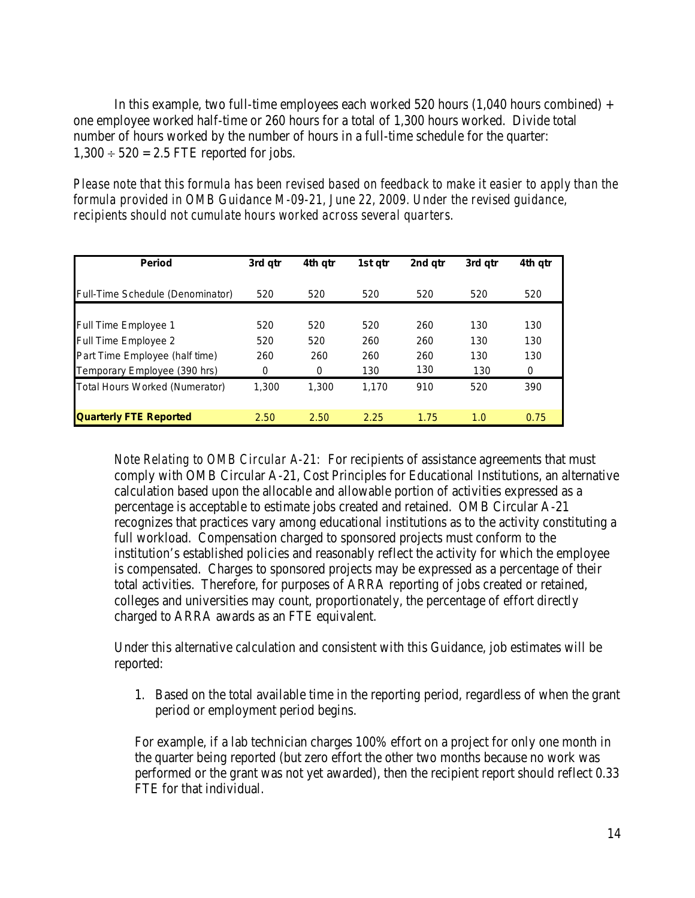In this example, two full-time employees each worked 520 hours  $(1,040$  hours combined) + one employee worked half-time or 260 hours for a total of 1,300 hours worked. Divide total number of hours worked by the number of hours in a full-time schedule for the quarter:  $1,300 \div 520 = 2.5$  FTE reported for jobs.

*Please note that this formula has been revised based on feedback to make it easier to apply than the formula provided in OMB Guidance M-09-21, June 22, 2009. Under the revised guidance, recipients should not cumulate hours worked across several quarters.* 

| <b>Period</b>                    | 3rd qtr | 4th qtr | 1st gtr | 2nd gtr | 3rd gtr | 4th qtr |
|----------------------------------|---------|---------|---------|---------|---------|---------|
| Full-Time Schedule (Denominator) | 520     | 520     | 520     | 520     | 520     | 520     |
| <b>Full Time Employee 1</b>      | 520     | 520     | 520     | 260     | 130     | 130     |
| Full Time Employee 2             | 520     | 520     | 260     | 260     | 130     | 130     |
| Part Time Employee (half time)   | 260     | 260     | 260     | 260     | 130     | 130     |
| Temporary Employee (390 hrs)     | 0       | 0       | 130     | 130     | 130     | 0       |
| Total Hours Worked (Numerator)   | 1.300   | 1.300   | 1.170   | 910     | 520     | 390     |
| <b>Quarterly FTE Reported</b>    | 2.50    | 2.50    | 2.25    | 1.75    | 1.0     | 0.75    |

*Note Relating to OMB Circular A-21:* For recipients of assistance agreements that must comply with OMB Circular A-21, Cost Principles for Educational Institutions, an alternative calculation based upon the allocable and allowable portion of activities expressed as a percentage is acceptable to estimate jobs created and retained. OMB Circular A-21 recognizes that practices vary among educational institutions as to the activity constituting a full workload. Compensation charged to sponsored projects must conform to the institution's established policies and reasonably reflect the activity for which the employee is compensated. Charges to sponsored projects may be expressed as a percentage of their total activities. Therefore, for purposes of ARRA reporting of jobs created or retained, colleges and universities may count, proportionately, the percentage of effort directly charged to ARRA awards as an FTE equivalent.

Under this alternative calculation and consistent with this Guidance, job estimates will be reported:

1. Based on the total available time in the reporting period, regardless of when the grant period or employment period begins.

For example, if a lab technician charges 100% effort on a project for only one month in the quarter being reported (but zero effort the other two months because no work was performed or the grant was not yet awarded), then the recipient report should reflect 0.33 FTE for that individual.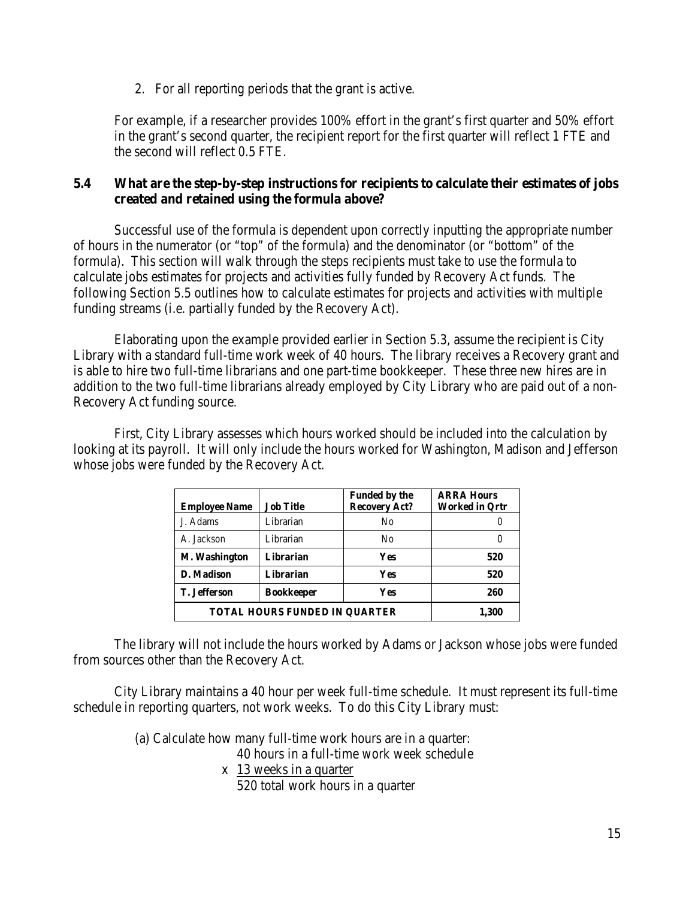2. For all reporting periods that the grant is active.

For example, if a researcher provides 100% effort in the grant's first quarter and 50% effort in the grant's second quarter, the recipient report for the first quarter will reflect 1 FTE and the second will reflect 0.5 FTE.

# **5.4 What are the step-by-step instructions for recipients to calculate their estimates of jobs created and retained using the formula above?**

 Successful use of the formula is dependent upon correctly inputting the appropriate number of hours in the numerator (or "top" of the formula) and the denominator (or "bottom" of the formula). This section will walk through the steps recipients must take to use the formula to calculate jobs estimates for projects and activities fully funded by Recovery Act funds. The following Section 5.5 outlines how to calculate estimates for projects and activities with multiple funding streams (i.e. partially funded by the Recovery Act).

 Elaborating upon the example provided earlier in Section 5.3, assume the recipient is City Library with a standard full-time work week of 40 hours. The library receives a Recovery grant and is able to hire two full-time librarians and one part-time bookkeeper. These three new hires are in addition to the two full-time librarians already employed by City Library who are paid out of a non-Recovery Act funding source.

First, City Library assesses which hours worked should be included into the calculation by looking at its payroll. It will only include the hours worked for Washington, Madison and Jefferson whose jobs were funded by the Recovery Act.

| <b>Employee Name</b>                 | <b>Job Title</b>  | <b>Funded by the</b><br><b>Recovery Act?</b> | <b>ARRA Hours</b><br><b>Worked in Ortr</b> |
|--------------------------------------|-------------------|----------------------------------------------|--------------------------------------------|
| J. Adams                             | Librarian         | N <sub>0</sub>                               |                                            |
| A. Jackson                           | Librarian         | N <sub>0</sub>                               |                                            |
| M. Washington                        | Librarian         | <b>Yes</b>                                   | 520                                        |
| D. Madison                           | Librarian         | <b>Yes</b>                                   | 520                                        |
| <b>T.</b> Jefferson                  | <b>Bookkeeper</b> | <b>Yes</b>                                   | 260                                        |
| <b>TOTAL HOURS FUNDED IN OUARTER</b> | 1,300             |                                              |                                            |

 The library will not include the hours worked by Adams or Jackson whose jobs were funded from sources other than the Recovery Act.

 City Library maintains a 40 hour per week full-time schedule. It must represent its full-time schedule in reporting quarters, not work weeks. To do this City Library must:

(a) Calculate how many full-time work hours are in a quarter:

40 hours in a full-time work week schedule

x 13 weeks in a quarter 520 total work hours in a quarter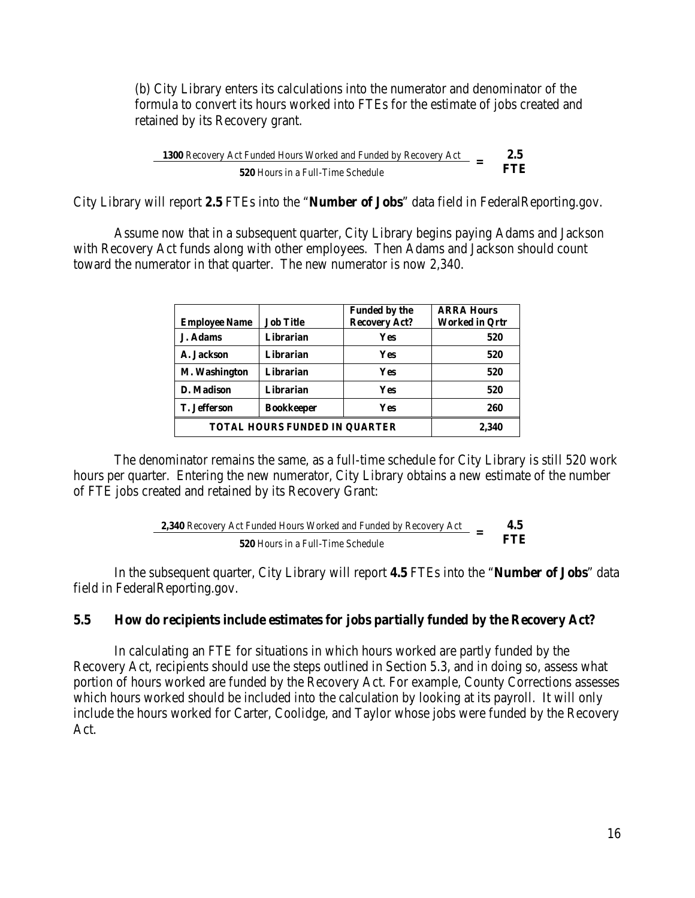(b) City Library enters its calculations into the numerator and denominator of the formula to convert its hours worked into FTEs for the estimate of jobs created and retained by its Recovery grant.

1300 Recovery Act Funded Hours Worked and Funded by Recovery Act **2.5**<br>520 Hours in a Full Time Schedule **520** Hours in a Full-Time Schedule

City Library will report **2.5** FTEs into the "**Number of Jobs**" data field in FederalReporting.gov.

 Assume now that in a subsequent quarter, City Library begins paying Adams and Jackson with Recovery Act funds along with other employees. Then Adams and Jackson should count toward the numerator in that quarter. The new numerator is now 2,340.

| <b>Employee Name</b>                 | <b>Job Title</b>  | <b>Funded by the</b><br><b>Recovery Act?</b> | <b>ARRA Hours</b><br><b>Worked in Ortr</b> |
|--------------------------------------|-------------------|----------------------------------------------|--------------------------------------------|
| J. Adams                             | Librarian         | Yes                                          | 520                                        |
| A. Jackson                           | Librarian         | Yes                                          | 520                                        |
| M. Washington                        | Librarian         | Yes                                          | 520                                        |
| D. Madison                           | Librarian         | Yes                                          | 520                                        |
| <b>T.</b> Jefferson                  | <b>Bookkeeper</b> | Yes                                          | 260                                        |
| <b>TOTAL HOURS FUNDED IN OUARTER</b> | 2,340             |                                              |                                            |

The denominator remains the same, as a full-time schedule for City Library is still 520 work hours per quarter. Entering the new numerator, City Library obtains a new estimate of the number of FTE jobs created and retained by its Recovery Grant:

2,340 Recovery Act Funded Hours Worked and Funded by Recovery Act 
$$
=
$$
 4.5  
\n520 Hours in a Full-Time Schedule

 In the subsequent quarter, City Library will report **4.5** FTEs into the "**Number of Jobs**" data field in FederalReporting.gov.

#### **5.5 How do recipients include estimates for jobs partially funded by the Recovery Act?**

In calculating an FTE for situations in which hours worked are partly funded by the Recovery Act, recipients should use the steps outlined in Section 5.3, and in doing so, assess what portion of hours worked are funded by the Recovery Act. For example, County Corrections assesses which hours worked should be included into the calculation by looking at its payroll. It will only include the hours worked for Carter, Coolidge, and Taylor whose jobs were funded by the Recovery Act.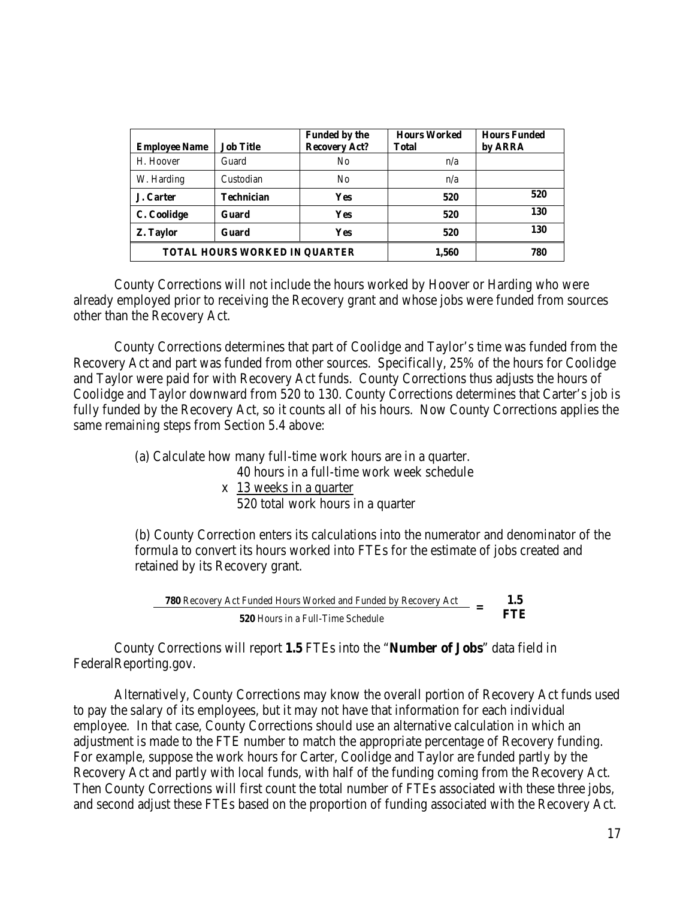| <b>Employee Name</b>                 | <b>Job Title</b>  | <b>Funded by the</b><br><b>Recovery Act?</b> | <b>Hours Worked</b><br><b>Total</b> | <b>Hours Funded</b><br>by ARRA |
|--------------------------------------|-------------------|----------------------------------------------|-------------------------------------|--------------------------------|
| H. Hoover                            | Guard             | N <sub>0</sub>                               | n/a                                 |                                |
| W. Harding                           | Custodian         | N <sub>0</sub>                               | n/a                                 |                                |
| J. Carter                            | <b>Technician</b> | <b>Yes</b>                                   | 520                                 | 520                            |
| C. Coolidge                          | Guard             | <b>Yes</b>                                   | 520                                 | 130                            |
| Z. Taylor                            | Guard             | <b>Yes</b>                                   | 520                                 | 130                            |
| <b>TOTAL HOURS WORKED IN OUARTER</b> |                   |                                              | 1,560                               | 780                            |

 County Corrections will not include the hours worked by Hoover or Harding who were already employed prior to receiving the Recovery grant and whose jobs were funded from sources other than the Recovery Act.

 County Corrections determines that part of Coolidge and Taylor's time was funded from the Recovery Act and part was funded from other sources. Specifically, 25% of the hours for Coolidge and Taylor were paid for with Recovery Act funds. County Corrections thus adjusts the hours of Coolidge and Taylor downward from 520 to 130. County Corrections determines that Carter's job is fully funded by the Recovery Act, so it counts all of his hours. Now County Corrections applies the same remaining steps from Section 5.4 above:

(a) Calculate how many full-time work hours are in a quarter.

40 hours in a full-time work week schedule

x 13 weeks in a quarter

520 total work hours in a quarter

(b) County Correction enters its calculations into the numerator and denominator of the formula to convert its hours worked into FTEs for the estimate of jobs created and retained by its Recovery grant.

**780** Recovery Act Funded Hours Worked and Funded by Recovery Act **1.5 FTE 520** Hours in a Full-Time Schedule

 County Corrections will report **1.5** FTEs into the "**Number of Jobs**" data field in FederalReporting.gov.

 Alternatively, County Corrections may know the overall portion of Recovery Act funds used to pay the salary of its employees, but it may not have that information for each individual employee. In that case, County Corrections should use an alternative calculation in which an adjustment is made to the FTE number to match the appropriate percentage of Recovery funding. For example, suppose the work hours for Carter, Coolidge and Taylor are funded partly by the Recovery Act and partly with local funds, with half of the funding coming from the Recovery Act. Then County Corrections will first count the total number of FTEs associated with these three jobs, and second adjust these FTEs based on the proportion of funding associated with the Recovery Act.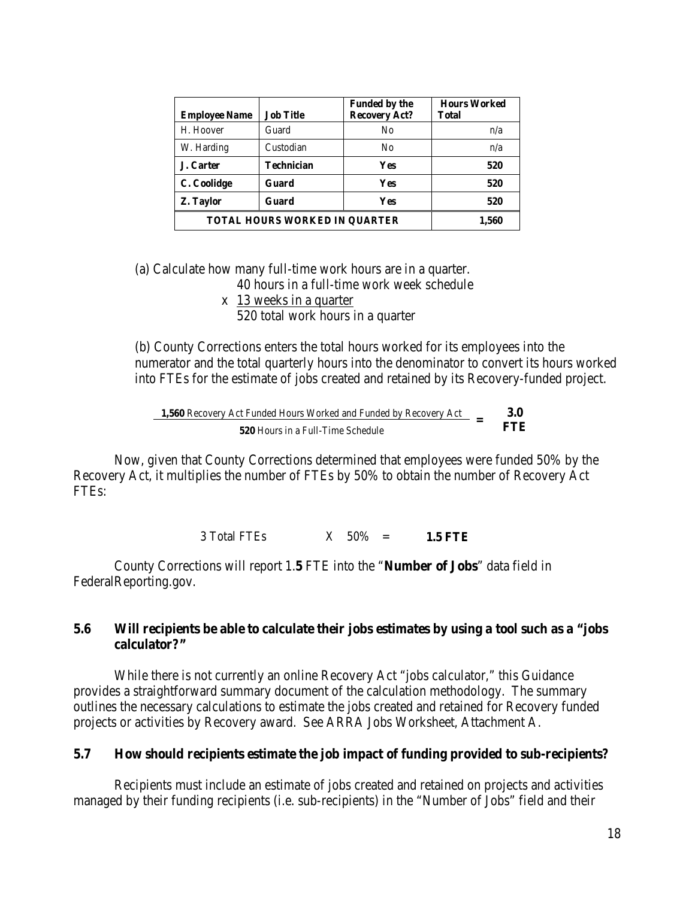| <b>Employee Name</b>                 | <b>Job Title</b> | <b>Funded by the</b><br><b>Recovery Act?</b> | <b>Hours Worked</b><br><b>Total</b> |
|--------------------------------------|------------------|----------------------------------------------|-------------------------------------|
| H. Hoover                            | Guard            | N <sub>0</sub>                               | n/a                                 |
| W. Harding                           | Custodian        | N <sub>0</sub>                               | n/a                                 |
| J. Carter                            | Technician       | Yes                                          | 520                                 |
| C. Coolidge                          | Guard            | Yes                                          | 520                                 |
| Z. Taylor                            | Guard            | Yes                                          | 520                                 |
| <b>TOTAL HOURS WORKED IN OUARTER</b> | 1,560            |                                              |                                     |

(a) Calculate how many full-time work hours are in a quarter.

40 hours in a full-time work week schedule

x 13 weeks in a quarter 520 total work hours in a quarter

(b) County Corrections enters the total hours worked for its employees into the numerator and the total quarterly hours into the denominator to convert its hours worked into FTEs for the estimate of jobs created and retained by its Recovery-funded project.

**1,560** Recovery Act Funded Hours Worked and Funded by Recovery Act  $=$  **3.0 FTE 520** Hours in a Full-Time Schedule

Now, given that County Corrections determined that employees were funded 50% by the Recovery Act, it multiplies the number of FTEs by 50% to obtain the number of Recovery Act FTEs:

3 Total FTEs X 50% = **1.5 FTE**

 County Corrections will report 1.**5** FTE into the "**Number of Jobs**" data field in FederalReporting.gov.

### **5.6 Will recipients be able to calculate their jobs estimates by using a tool such as a "jobs calculator?"**

 While there is not currently an online Recovery Act "jobs calculator," this Guidance provides a straightforward summary document of the calculation methodology. The summary outlines the necessary calculations to estimate the jobs created and retained for Recovery funded projects or activities by Recovery award. See ARRA Jobs Worksheet, Attachment A.

#### **5.7 How should recipients estimate the job impact of funding provided to sub-recipients?**

Recipients must include an estimate of jobs created and retained on projects and activities managed by their funding recipients (i.e. sub-recipients) in the "Number of Jobs" field and their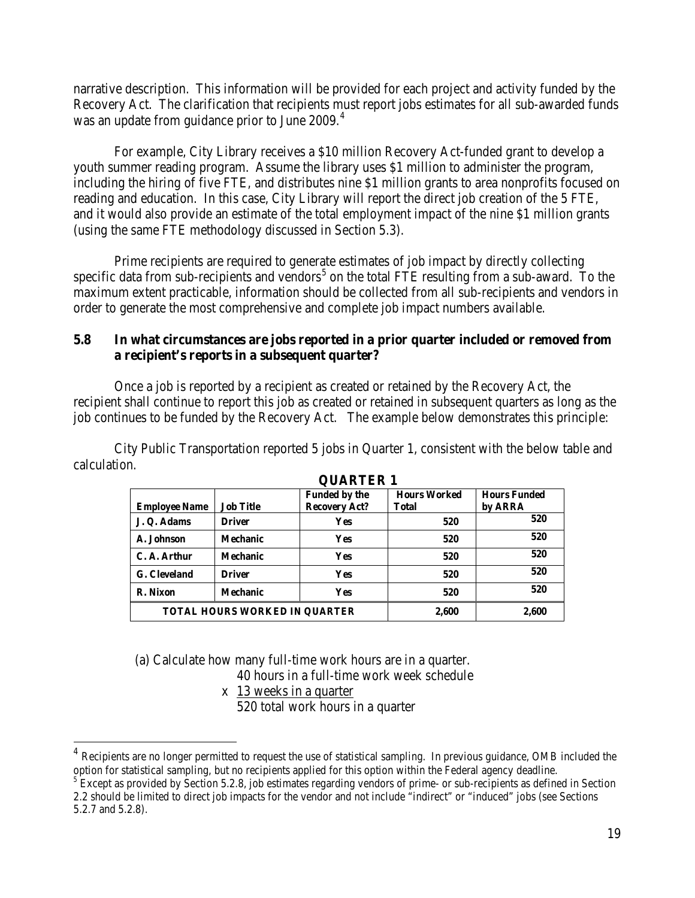narrative description. This information will be provided for each project and activity funded by the Recovery Act. The clarification that recipients must report jobs estimates for all sub-awarded funds was an update from guidance prior to June 2009.<sup>[4](#page-18-0)</sup>

For example, City Library receives a \$10 million Recovery Act-funded grant to develop a youth summer reading program. Assume the library uses \$1 million to administer the program, including the hiring of five FTE, and distributes nine \$1 million grants to area nonprofits focused on reading and education. In this case, City Library will report the direct job creation of the 5 FTE, and it would also provide an estimate of the total employment impact of the nine \$1 million grants (using the same FTE methodology discussed in Section 5.3).

Prime recipients are required to generate estimates of job impact by directly collecting specific data from sub-recipients and vendors<sup>[5](#page-18-1)</sup> on the total FTE resulting from a sub-award. To the maximum extent practicable, information should be collected from all sub-recipients and vendors in order to generate the most comprehensive and complete job impact numbers available.

# **5.8 In what circumstances are jobs reported in a prior quarter included or removed from a recipient's reports in a subsequent quarter?**

Once a job is reported by a recipient as created or retained by the Recovery Act, the recipient shall continue to report this job as created or retained in subsequent quarters as long as the job continues to be funded by the Recovery Act. The example below demonstrates this principle:

 City Public Transportation reported 5 jobs in Quarter 1, consistent with the below table and calculation.

| VULINLEIN 1                          |                  |                      |                     |                     |  |
|--------------------------------------|------------------|----------------------|---------------------|---------------------|--|
|                                      |                  | Funded by the        | <b>Hours Worked</b> | <b>Hours Funded</b> |  |
| <b>Employee Name</b>                 | <b>Job Title</b> | <b>Recovery Act?</b> | Total               | by ARRA             |  |
| J. Q. Adams                          | <b>Driver</b>    | <b>Yes</b>           | 520                 | 520                 |  |
| A. Johnson                           | <b>Mechanic</b>  | <b>Yes</b>           | 520                 | 520                 |  |
| C. A. Arthur                         | <b>Mechanic</b>  | <b>Yes</b>           | 520                 | 520                 |  |
| G. Cleveland                         | <b>Driver</b>    | <b>Yes</b>           | 520                 | 520                 |  |
| R. Nixon                             | <b>Mechanic</b>  | <b>Yes</b>           | 520                 | 520                 |  |
| <b>TOTAL HOURS WORKED IN OUARTER</b> |                  |                      | 2,600               | 2,600               |  |

#### **QUARTER 1**

(a) Calculate how many full-time work hours are in a quarter.

40 hours in a full-time work week schedule

x 13 weeks in a quarter

 $\overline{a}$ 

520 total work hours in a quarter

<span id="page-18-0"></span>Recipients are no longer permitted to request the use of statistical sampling. In previous guidance, OMB included the option for statistical sampling, but no recipients applied for this option within the Federal agency deadline.<br><sup>5</sup> Except as provided by Section 5.2.8, job estimates regarding vendors of prime- or sub-recipients as defined

<span id="page-18-1"></span><sup>2.2</sup> should be limited to direct job impacts for the vendor and not include "indirect" or "induced" jobs (see Sections 5.2.7 and 5.2.8).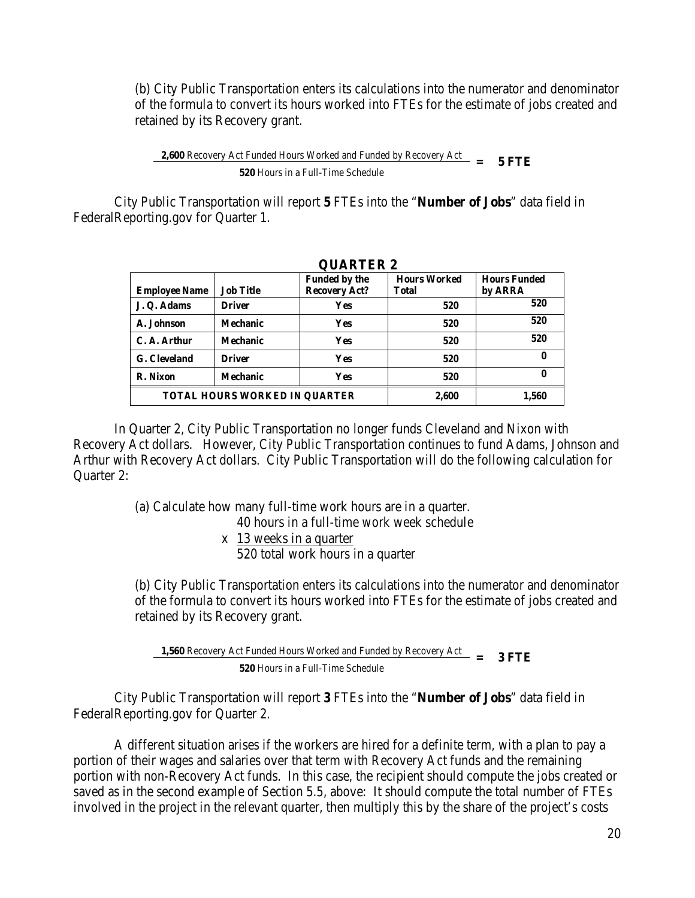(b) City Public Transportation enters its calculations into the numerator and denominator of the formula to convert its hours worked into FTEs for the estimate of jobs created and retained by its Recovery grant.

**2,600** Recovery Act Funded Hours Worked and Funded by Recovery Act  $=$  5 FTE **520** Hours in a Full-Time Schedule

 City Public Transportation will report **5** FTEs into the "**Number of Jobs**" data field in FederalReporting.gov for Quarter 1.

| <b>OUARIER 2</b>                     |                  |                      |                     |                     |  |
|--------------------------------------|------------------|----------------------|---------------------|---------------------|--|
|                                      |                  | <b>Funded by the</b> | <b>Hours Worked</b> | <b>Hours Funded</b> |  |
| <b>Employee Name</b>                 | <b>Job Title</b> | <b>Recovery Act?</b> | <b>Total</b>        | by ARRA             |  |
| J.Q. Adams                           | <b>Driver</b>    | <b>Yes</b>           | 520                 | 520                 |  |
| A. Johnson                           | <b>Mechanic</b>  | <b>Yes</b>           | 520                 | 520                 |  |
| C. A. Arthur                         | <b>Mechanic</b>  | <b>Yes</b>           | 520                 | 520                 |  |
| G. Cleveland                         | <b>Driver</b>    | <b>Yes</b>           | 520                 | 0                   |  |
| R. Nixon                             | <b>Mechanic</b>  | <b>Yes</b>           | 520                 | 0                   |  |
| <b>TOTAL HOURS WORKED IN OUARTER</b> |                  |                      | 2,600               | 1,560               |  |

 $Q$ U<sub>A</sub> DHED  $\alpha$ 

 In Quarter 2, City Public Transportation no longer funds Cleveland and Nixon with Recovery Act dollars. However, City Public Transportation continues to fund Adams, Johnson and Arthur with Recovery Act dollars. City Public Transportation will do the following calculation for Quarter 2:

(a) Calculate how many full-time work hours are in a quarter.

40 hours in a full-time work week schedule

x 13 weeks in a quarter 520 total work hours in a quarter

(b) City Public Transportation enters its calculations into the numerator and denominator of the formula to convert its hours worked into FTEs for the estimate of jobs created and retained by its Recovery grant.

**1,560** Recovery Act Funded Hours Worked and Funded by Recovery Act  $= 3$  **FTE 520** Hours in a Full-Time Schedule

 City Public Transportation will report **3** FTEs into the "**Number of Jobs**" data field in FederalReporting.gov for Quarter 2.

 A different situation arises if the workers are hired for a definite term, with a plan to pay a portion of their wages and salaries over that term with Recovery Act funds and the remaining portion with non-Recovery Act funds. In this case, the recipient should compute the jobs created or saved as in the second example of Section 5.5, above: It should compute the total number of FTEs involved in the project in the relevant quarter, then multiply this by the share of the project's costs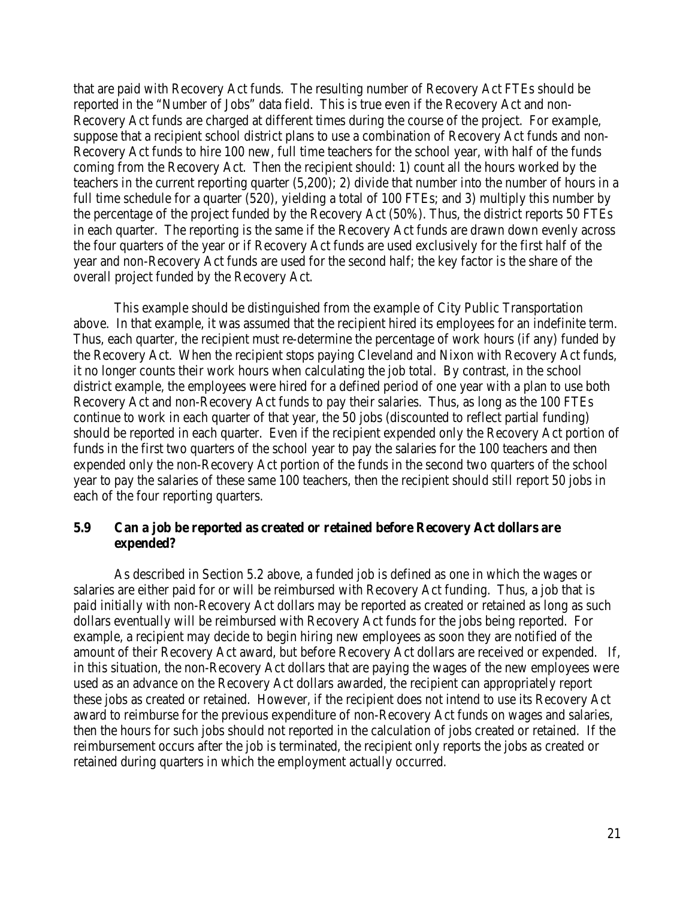that are paid with Recovery Act funds. The resulting number of Recovery Act FTEs should be reported in the "Number of Jobs" data field. This is true even if the Recovery Act and non-Recovery Act funds are charged at different times during the course of the project. For example, suppose that a recipient school district plans to use a combination of Recovery Act funds and non-Recovery Act funds to hire 100 new, full time teachers for the school year, with half of the funds coming from the Recovery Act. Then the recipient should: 1) count all the hours worked by the teachers in the current reporting quarter (5,200); 2) divide that number into the number of hours in a full time schedule for a quarter (520), yielding a total of 100 FTEs; and 3) multiply this number by the percentage of the project funded by the Recovery Act (50%). Thus, the district reports 50 FTEs in each quarter. The reporting is the same if the Recovery Act funds are drawn down evenly across the four quarters of the year or if Recovery Act funds are used exclusively for the first half of the year and non-Recovery Act funds are used for the second half; the key factor is the share of the overall project funded by the Recovery Act.

This example should be distinguished from the example of City Public Transportation above. In that example, it was assumed that the recipient hired its employees for an indefinite term. Thus, each quarter, the recipient must re-determine the percentage of work hours (if any) funded by the Recovery Act. When the recipient stops paying Cleveland and Nixon with Recovery Act funds, it no longer counts their work hours when calculating the job total. By contrast, in the school district example, the employees were hired for a defined period of one year with a plan to use both Recovery Act and non-Recovery Act funds to pay their salaries. Thus, as long as the 100 FTEs continue to work in each quarter of that year, the 50 jobs (discounted to reflect partial funding) should be reported in each quarter. Even if the recipient expended only the Recovery Act portion of funds in the first two quarters of the school year to pay the salaries for the 100 teachers and then expended only the non-Recovery Act portion of the funds in the second two quarters of the school year to pay the salaries of these same 100 teachers, then the recipient should still report 50 jobs in each of the four reporting quarters.

### **5.9 Can a job be reported as created or retained before Recovery Act dollars are expended?**

 As described in Section 5.2 above, a funded job is defined as one in which the wages or salaries are either paid for or will be reimbursed with Recovery Act funding. Thus, a job that is paid initially with non-Recovery Act dollars may be reported as created or retained as long as such dollars eventually will be reimbursed with Recovery Act funds for the jobs being reported. For example, a recipient may decide to begin hiring new employees as soon they are notified of the amount of their Recovery Act award, but before Recovery Act dollars are received or expended. If, in this situation, the non-Recovery Act dollars that are paying the wages of the new employees were used as an advance on the Recovery Act dollars awarded, the recipient can appropriately report these jobs as created or retained. However, if the recipient does not intend to use its Recovery Act award to reimburse for the previous expenditure of non-Recovery Act funds on wages and salaries, then the hours for such jobs should not reported in the calculation of jobs created or retained. If the reimbursement occurs after the job is terminated, the recipient only reports the jobs as created or retained during quarters in which the employment actually occurred.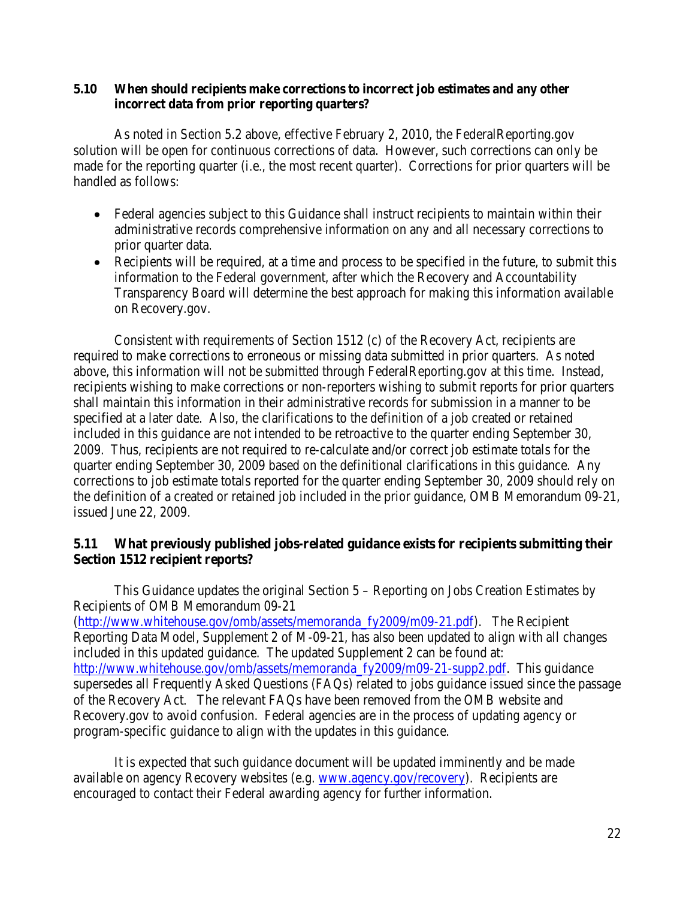### **5.10 When should recipients make corrections to incorrect job estimates and any other incorrect data from prior reporting quarters?**

 As noted in Section 5.2 above, effective February 2, 2010, the FederalReporting.gov solution will be open for continuous corrections of data. However, such corrections can only be made for the reporting quarter (i.e., the most recent quarter). Corrections for prior quarters will be handled as follows:

- Federal agencies subject to this Guidance shall instruct recipients to maintain within their administrative records comprehensive information on any and all necessary corrections to prior quarter data.
- Recipients will be required, at a time and process to be specified in the future, to submit this information to the Federal government, after which the Recovery and Accountability Transparency Board will determine the best approach for making this information available on Recovery.gov.

 Consistent with requirements of Section 1512 (c) of the Recovery Act, recipients are required to make corrections to erroneous or missing data submitted in prior quarters. As noted above, this information will not be submitted through FederalReporting.gov at this time. Instead, recipients wishing to make corrections or non-reporters wishing to submit reports for prior quarters shall maintain this information in their administrative records for submission in a manner to be specified at a later date. Also, the clarifications to the definition of a job created or retained included in this guidance are not intended to be retroactive to the quarter ending September 30, 2009. Thus, recipients are not required to re-calculate and/or correct job estimate totals for the quarter ending September 30, 2009 based on the definitional clarifications in this guidance. Any corrections to job estimate totals reported for the quarter ending September 30, 2009 should rely on the definition of a created or retained job included in the prior guidance, OMB Memorandum 09-21, issued June 22, 2009.

# **5.11 What previously published jobs-related guidance exists for recipients submitting their Section 1512 recipient reports?**

This Guidance updates the original Section 5 – Reporting on Jobs Creation Estimates by Recipients of OMB Memorandum 09-21 [\(http://www.whitehouse.gov/omb/assets/memoranda\\_fy2009/m09-21.pdf\)](http://www.whitehouse.gov/omb/assets/memoranda_fy2009/m09-21.pdf). The Recipient Reporting Data Model, Supplement 2 of M-09-21, has also been updated to align with all changes included in this updated guidance. The updated Supplement 2 can be found at: [http://www.whitehouse.gov/omb/assets/memoranda\\_fy2009/m09-21-supp2.pdf.](http://www.whitehouse.gov/omb/assets/memoranda_fy2009/m09-21-supp2.pdf) This guidance supersedes all Frequently Asked Questions (FAQs) related to jobs guidance issued since the passage of the Recovery Act. The relevant FAQs have been removed from the OMB website and Recovery.gov to avoid confusion. Federal agencies are in the process of updating agency or program-specific guidance to align with the updates in this guidance.

 It is expected that such guidance document will be updated imminently and be made available on agency Recovery websites (e.g. [www.agency.gov/recovery\)](http://www.agency.gov/recovery). Recipients are encouraged to contact their Federal awarding agency for further information.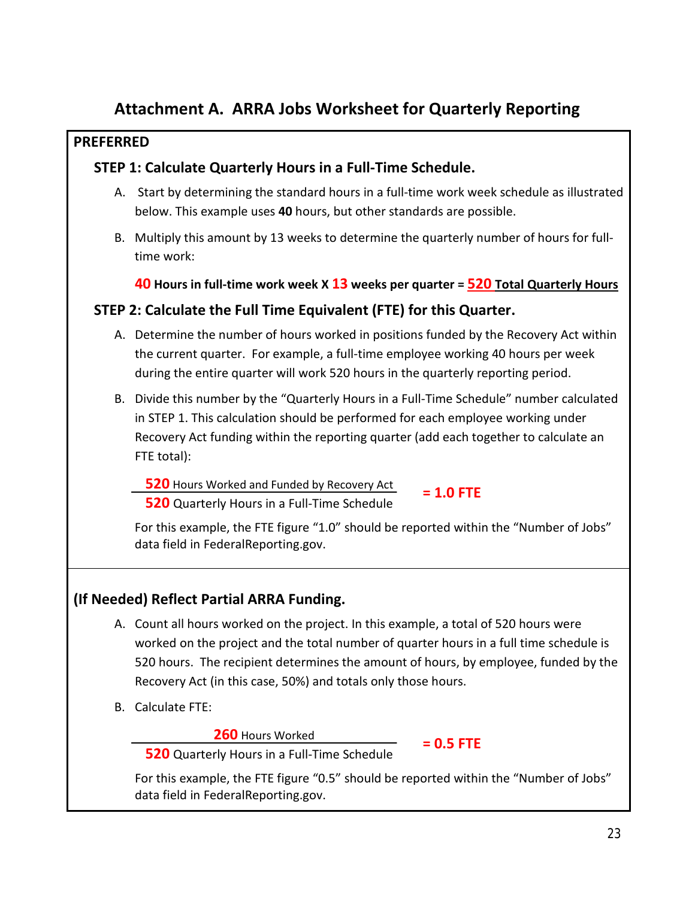# **Attachment A. ARRA Jobs Worksheet for Quarterly Reporting**

# **PREFERRED**

# **STEP 1: Calculate Quarterly Hours in a Full-Time Schedule.**

- A. Start by determining the standard hours in a full-time work week schedule as illustrated below. This example uses **40** hours, but other standards are possible.
- B. Multiply this amount by 13 weeks to determine the quarterly number of hours for fulltime work:

**40 Hours in full-time work week X 13 weeks per quarter = 520 Total Quarterly Hours**

# **STEP 2: Calculate the Full Time Equivalent (FTE) for this Quarter.**

- A. Determine the number of hours worked in positions funded by the Recovery Act within the current quarter. For example, a full-time employee working 40 hours per week during the entire quarter will work 520 hours in the quarterly reporting period.
- B. Divide this number by the "Quarterly Hours in a Full-Time Schedule" number calculated in STEP 1. This calculation should be performed for each employee working under Recovery Act funding within the reporting quarter (add each together to calculate an FTE total):

 **520** Hours Worked and Funded by Recovery Act **520** Quarterly Hours in a Full-Time Schedule

**= 1.0 FTE**

**= 0.5 FTE**

For this example, the FTE figure "1.0" should be reported within the "Number of Jobs" data field in FederalReporting.gov.

# **(If Needed) Reflect Partial ARRA Funding.**

- A. Count all hours worked on the project. In this example, a total of 520 hours were worked on the project and the total number of quarter hours in a full time schedule is 520 hours. The recipient determines the amount of hours, by employee, funded by the Recovery Act (in this case, 50%) and totals only those hours.
- B. Calculate FTE:

 **260** Hours Worked

 **520** Quarterly Hours in a Full-Time Schedule

For this example, the FTE figure "0.5" should be reported within the "Number of Jobs" data field in FederalReporting.gov.